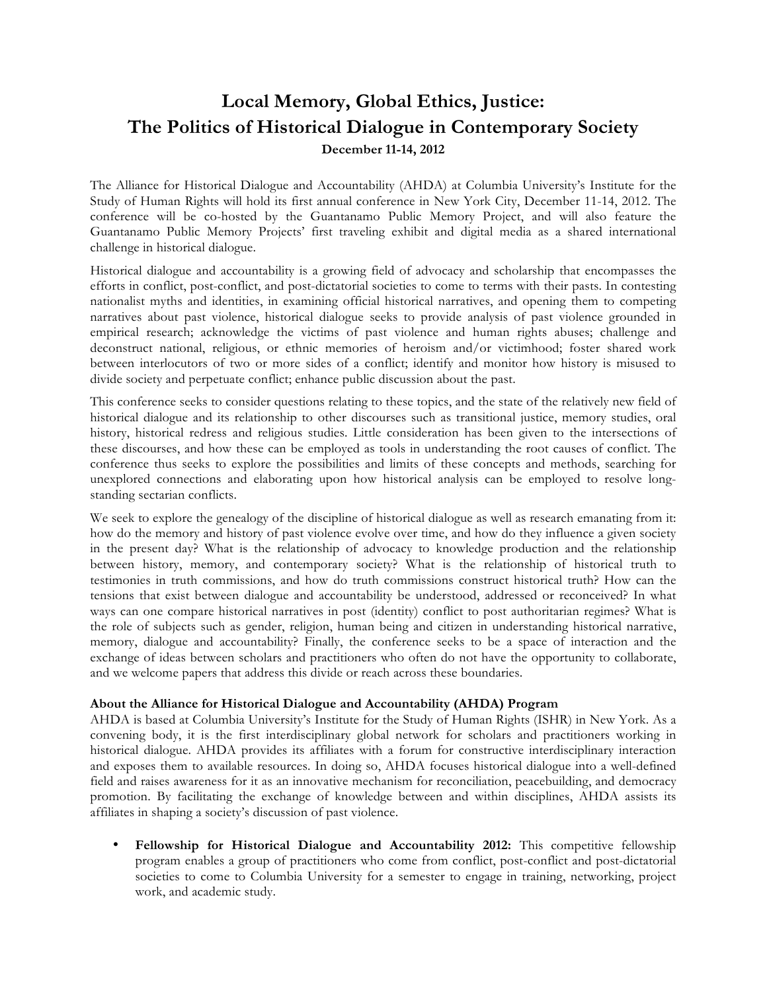# **Local Memory, Global Ethics, Justice: The Politics of Historical Dialogue in Contemporary Society December 11-14, 2012**

The Alliance for Historical Dialogue and Accountability (AHDA) at Columbia University's Institute for the Study of Human Rights will hold its first annual conference in New York City, December 11-14, 2012. The conference will be co-hosted by the Guantanamo Public Memory Project, and will also feature the Guantanamo Public Memory Projects' first traveling exhibit and digital media as a shared international challenge in historical dialogue.

Historical dialogue and accountability is a growing field of advocacy and scholarship that encompasses the efforts in conflict, post-conflict, and post-dictatorial societies to come to terms with their pasts. In contesting nationalist myths and identities, in examining official historical narratives, and opening them to competing narratives about past violence, historical dialogue seeks to provide analysis of past violence grounded in empirical research; acknowledge the victims of past violence and human rights abuses; challenge and deconstruct national, religious, or ethnic memories of heroism and/or victimhood; foster shared work between interlocutors of two or more sides of a conflict; identify and monitor how history is misused to divide society and perpetuate conflict; enhance public discussion about the past.

This conference seeks to consider questions relating to these topics, and the state of the relatively new field of historical dialogue and its relationship to other discourses such as transitional justice, memory studies, oral history, historical redress and religious studies. Little consideration has been given to the intersections of these discourses, and how these can be employed as tools in understanding the root causes of conflict. The conference thus seeks to explore the possibilities and limits of these concepts and methods, searching for unexplored connections and elaborating upon how historical analysis can be employed to resolve longstanding sectarian conflicts.

We seek to explore the genealogy of the discipline of historical dialogue as well as research emanating from it: how do the memory and history of past violence evolve over time, and how do they influence a given society in the present day? What is the relationship of advocacy to knowledge production and the relationship between history, memory, and contemporary society? What is the relationship of historical truth to testimonies in truth commissions, and how do truth commissions construct historical truth? How can the tensions that exist between dialogue and accountability be understood, addressed or reconceived? In what ways can one compare historical narratives in post (identity) conflict to post authoritarian regimes? What is the role of subjects such as gender, religion, human being and citizen in understanding historical narrative, memory, dialogue and accountability? Finally, the conference seeks to be a space of interaction and the exchange of ideas between scholars and practitioners who often do not have the opportunity to collaborate, and we welcome papers that address this divide or reach across these boundaries.

## **About the Alliance for Historical Dialogue and Accountability (AHDA) Program**

AHDA is based at Columbia University's Institute for the Study of Human Rights (ISHR) in New York. As a convening body, it is the first interdisciplinary global network for scholars and practitioners working in historical dialogue. AHDA provides its affiliates with a forum for constructive interdisciplinary interaction and exposes them to available resources. In doing so, AHDA focuses historical dialogue into a well-defined field and raises awareness for it as an innovative mechanism for reconciliation, peacebuilding, and democracy promotion. By facilitating the exchange of knowledge between and within disciplines, AHDA assists its affiliates in shaping a society's discussion of past violence.

• **Fellowship for Historical Dialogue and Accountability 2012:** This competitive fellowship program enables a group of practitioners who come from conflict, post-conflict and post-dictatorial societies to come to Columbia University for a semester to engage in training, networking, project work, and academic study.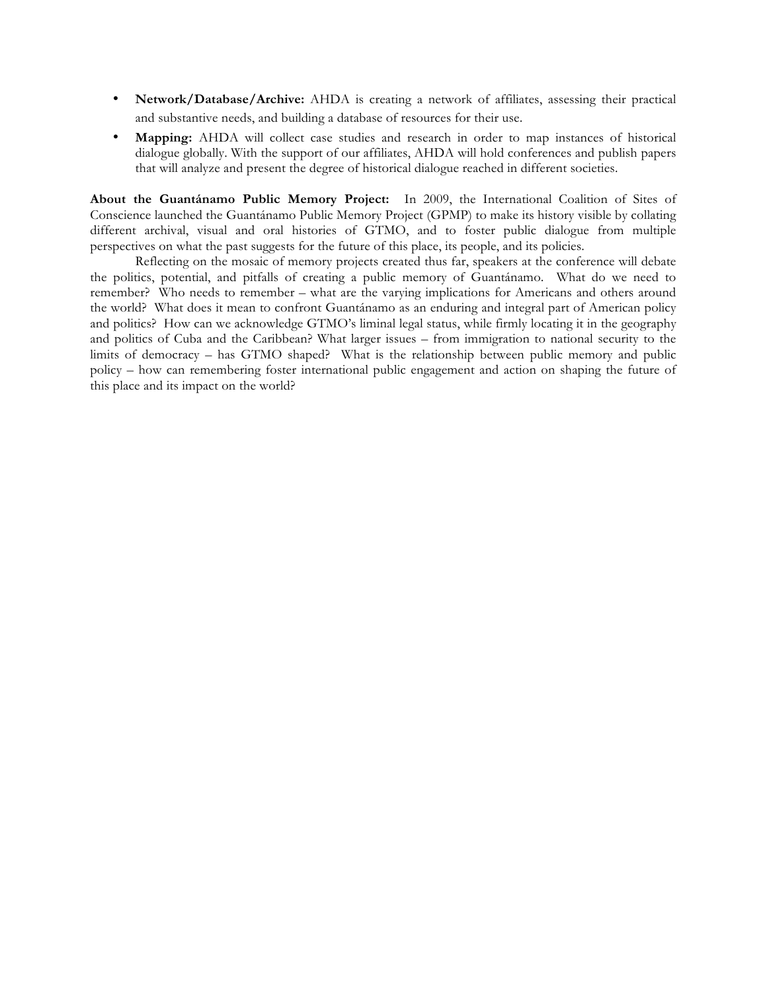- **Network/Database/Archive:** AHDA is creating a network of affiliates, assessing their practical and substantive needs, and building a database of resources for their use.
- **Mapping:** AHDA will collect case studies and research in order to map instances of historical dialogue globally. With the support of our affiliates, AHDA will hold conferences and publish papers that will analyze and present the degree of historical dialogue reached in different societies.

**About the Guantánamo Public Memory Project:** In 2009, the International Coalition of Sites of Conscience launched the Guantánamo Public Memory Project (GPMP) to make its history visible by collating different archival, visual and oral histories of GTMO, and to foster public dialogue from multiple perspectives on what the past suggests for the future of this place, its people, and its policies.

Reflecting on the mosaic of memory projects created thus far, speakers at the conference will debate the politics, potential, and pitfalls of creating a public memory of Guantánamo. What do we need to remember? Who needs to remember – what are the varying implications for Americans and others around the world? What does it mean to confront Guantánamo as an enduring and integral part of American policy and politics? How can we acknowledge GTMO's liminal legal status, while firmly locating it in the geography and politics of Cuba and the Caribbean? What larger issues – from immigration to national security to the limits of democracy – has GTMO shaped? What is the relationship between public memory and public policy – how can remembering foster international public engagement and action on shaping the future of this place and its impact on the world?